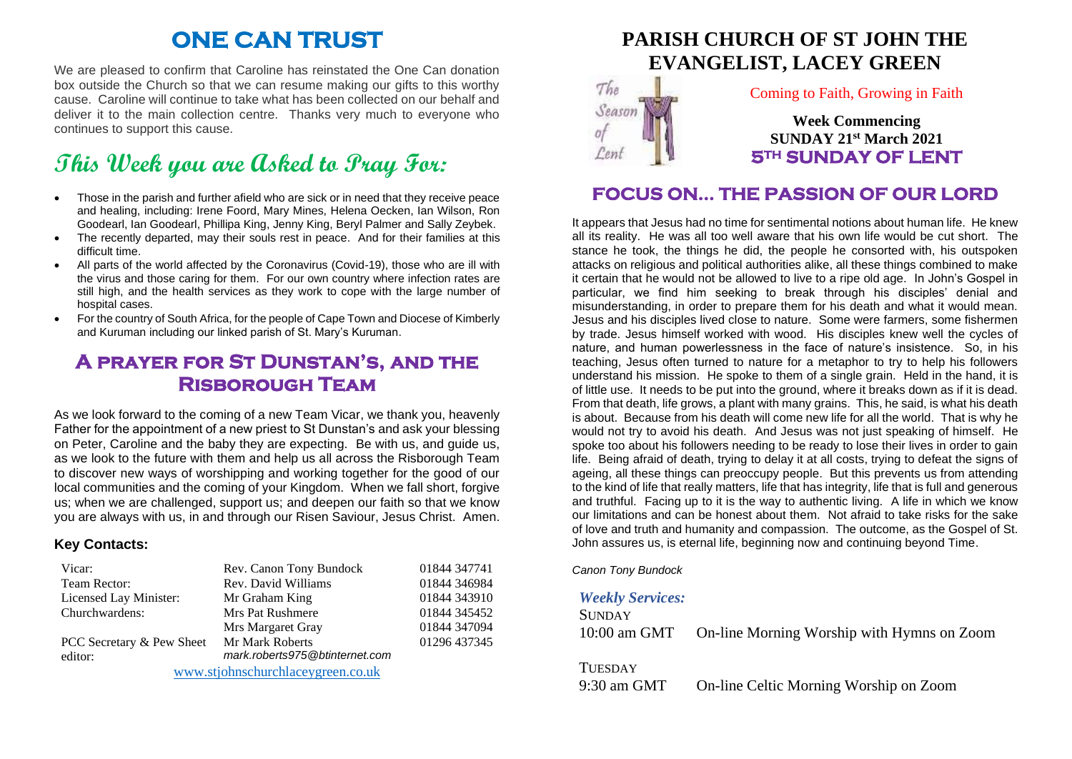# **ONE CAN TRUST**

We are pleased to confirm that Caroline has reinstated the One Can donation box outside the Church so that we can resume making our gifts to this worthy cause. Caroline will continue to take what has been collected on our behalf and deliver it to the main collection centre. Thanks very much to everyone who continues to support this cause.

# **This Week you are Asked to Pray For:**

- Those in the parish and further afield who are sick or in need that they receive peace and healing, including: Irene Foord, Mary Mines, Helena Oecken, Ian Wilson, Ron Goodearl, Ian Goodearl, Phillipa King, Jenny King, Beryl Palmer and Sally Zeybek.
- The recently departed, may their souls rest in peace. And for their families at this difficult time.
- All parts of the world affected by the Coronavirus (Covid-19), those who are ill with the virus and those caring for them. For our own country where infection rates are still high, and the health services as they work to cope with the large number of hospital cases.
- For the country of South Africa, for the people of Cape Town and Diocese of Kimberly and Kuruman including our linked parish of St. Mary's Kuruman.

### **A prayer for St Dunstan's, and the Risborough Team**

As we look forward to the coming of a new Team Vicar, we thank you, heavenly Father for the appointment of a new priest to St Dunstan's and ask your blessing on Peter, Caroline and the baby they are expecting. Be with us, and guide us, as we look to the future with them and help us all across the Risborough Team to discover new ways of worshipping and working together for the good of our local communities and the coming of your Kingdom. When we fall short, forgive us; when we are challenged, support us; and deepen our faith so that we know you are always with us, in and through our Risen Saviour, Jesus Christ. Amen.

#### **Key Contacts:**

| Vicar:                            | Rev. Canon Tony Bundock        | 01844 347741 |
|-----------------------------------|--------------------------------|--------------|
| Team Rector:                      | Rev. David Williams            | 01844 346984 |
| Licensed Lay Minister:            | Mr Graham King                 | 01844 343910 |
| Churchwardens:                    | <b>Mrs Pat Rushmere</b>        | 01844 345452 |
|                                   | Mrs Margaret Gray              | 01844 347094 |
| PCC Secretary & Pew Sheet         | Mr Mark Roberts                | 01296 437345 |
| editor:                           | mark.roberts975@btinternet.com |              |
| www.stjohnschurchlaceygreen.co.uk |                                |              |

## **PARISH CHURCH OF ST JOHN THE EVANGELIST, LACEY GREEN**



#### Coming to Faith, Growing in Faith

**Week Commencing SUNDAY 21st March 2021 5TH SUNDAY OF LENT** 

### **FOCUS ON… THE PASSION OF OUR LORD**

It appears that Jesus had no time for sentimental notions about human life. He knew all its reality. He was all too well aware that his own life would be cut short. The stance he took, the things he did, the people he consorted with, his outspoken attacks on religious and political authorities alike, all these things combined to make it certain that he would not be allowed to live to a ripe old age. In John's Gospel in particular, we find him seeking to break through his disciples' denial and misunderstanding, in order to prepare them for his death and what it would mean. Jesus and his disciples lived close to nature. Some were farmers, some fishermen by trade. Jesus himself worked with wood. His disciples knew well the cycles of nature, and human powerlessness in the face of nature's insistence. So, in his teaching, Jesus often turned to nature for a metaphor to try to help his followers understand his mission. He spoke to them of a single grain. Held in the hand, it is of little use. It needs to be put into the ground, where it breaks down as if it is dead. From that death, life grows, a plant with many grains. This, he said, is what his death is about. Because from his death will come new life for all the world. That is why he would not try to avoid his death. And Jesus was not just speaking of himself. He spoke too about his followers needing to be ready to lose their lives in order to gain life. Being afraid of death, trying to delay it at all costs, trying to defeat the signs of ageing, all these things can preoccupy people. But this prevents us from attending to the kind of life that really matters, life that has integrity, life that is full and generous and truthful. Facing up to it is the way to authentic living. A life in which we know our limitations and can be honest about them. Not afraid to take risks for the sake of love and truth and humanity and compassion. The outcome, as the Gospel of St. John assures us, is eternal life, beginning now and continuing beyond Time.

*Canon Tony Bundock*

#### *Weekly Services:*

| <b>SUNDAY</b> |                                            |
|---------------|--------------------------------------------|
| 10:00 am GMT  | On-line Morning Worship with Hymns on Zoom |

**TUESDAY** 

9:30 am GMT On-line Celtic Morning Worship on Zoom